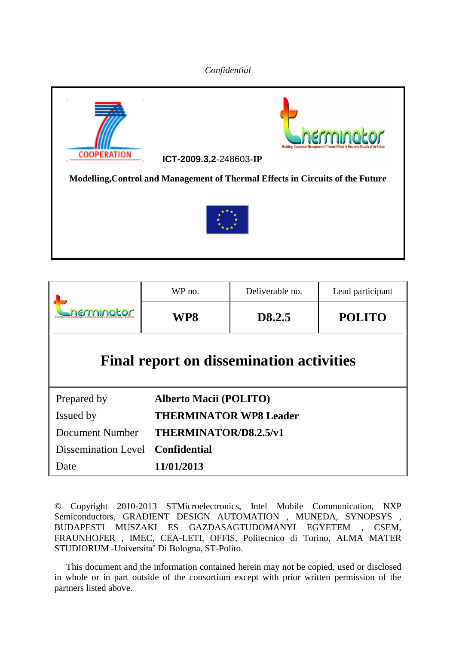*Confidential*



|                                                 | WP no.                        | Deliverable no. | Lead participant |  |  |
|-------------------------------------------------|-------------------------------|-----------------|------------------|--|--|
| ermingtor                                       | WP8                           | D8.2.5          | <b>POLITO</b>    |  |  |
| <b>Final report on dissemination activities</b> |                               |                 |                  |  |  |
| Prepared by                                     | <b>Alberto Macii (POLITO)</b> |                 |                  |  |  |
| Issued by                                       | <b>THERMINATOR WP8 Leader</b> |                 |                  |  |  |
| Document Number                                 | THERMINATOR/D8.2.5/v1         |                 |                  |  |  |
| <b>Dissemination Level</b>                      | <b>Confidential</b>           |                 |                  |  |  |
| Date                                            | 11/01/2013                    |                 |                  |  |  |

© Copyright 2010-2013 STMicroelectronics, Intel Mobile Communication, NXP Semiconductors, GRADIENT DESIGN AUTOMATION , MUNEDA, SYNOPSYS , BUDAPESTI MUSZAKI ES GAZDASAGTUDOMANYI EGYETEM , CSEM, FRAUNHOFER , IMEC, CEA-LETI, OFFIS, Politecnico di Torino, ALMA MATER STUDIORUM -Universita' Di Bologna, ST-Polito.

 This document and the information contained herein may not be copied, used or disclosed in whole or in part outside of the consortium except with prior written permission of the partners listed above.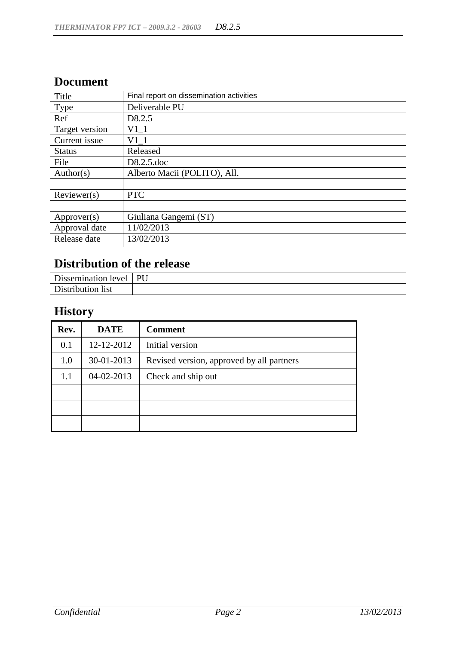## **Document**

| Title          | Final report on dissemination activities |  |
|----------------|------------------------------------------|--|
| <b>Type</b>    | Deliverable PU                           |  |
| Ref            | D <sub>8.2.5</sub>                       |  |
| Target version | $V1_1$                                   |  |
| Current issue  | $V1_1$                                   |  |
| <b>Status</b>  | Released                                 |  |
| File           | D8.2.5.doc                               |  |
| Author(s)      | Alberto Macii (POLITO), All.             |  |
|                |                                          |  |
| Reviewer(s)    | <b>PTC</b>                               |  |
|                |                                          |  |
| Approxer(s)    | Giuliana Gangemi (ST)                    |  |
| Approval date  | 11/02/2013                               |  |
| Release date   | 13/02/2013                               |  |

# **Distribution of the release**

| <b>Jissemination</b><br>level | וע |
|-------------------------------|----|
| $\bullet$<br>ribution<br>list |    |

# **History**

| Rev. | <b>DATE</b> | <b>Comment</b>                            |
|------|-------------|-------------------------------------------|
| 0.1  | 12-12-2012  | Initial version                           |
| 1.0  | 30-01-2013  | Revised version, approved by all partners |
| 1.1  | 04-02-2013  | Check and ship out                        |
|      |             |                                           |
|      |             |                                           |
|      |             |                                           |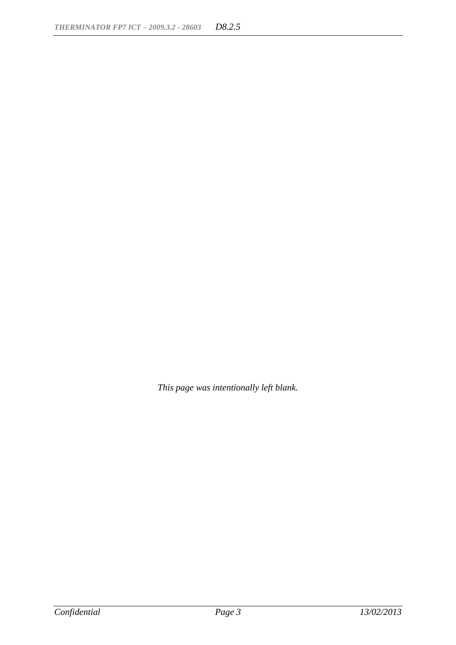*This page was intentionally left blank.*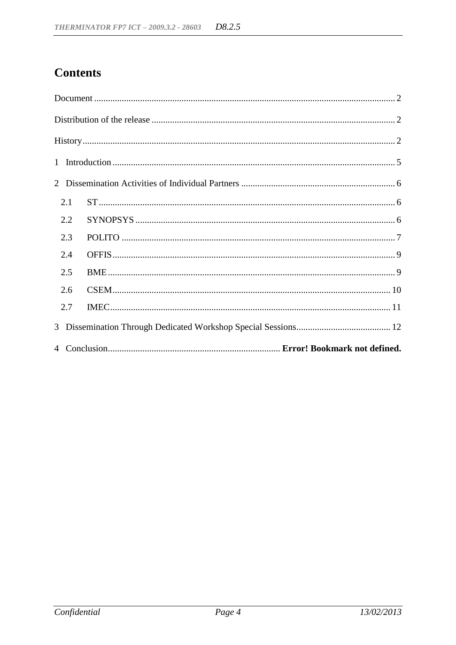# **Contents**

| 2.1 |
|-----|
| 2.2 |
| 2.3 |
| 2.4 |
| 2.5 |
| 2.6 |
| 2.7 |
|     |
|     |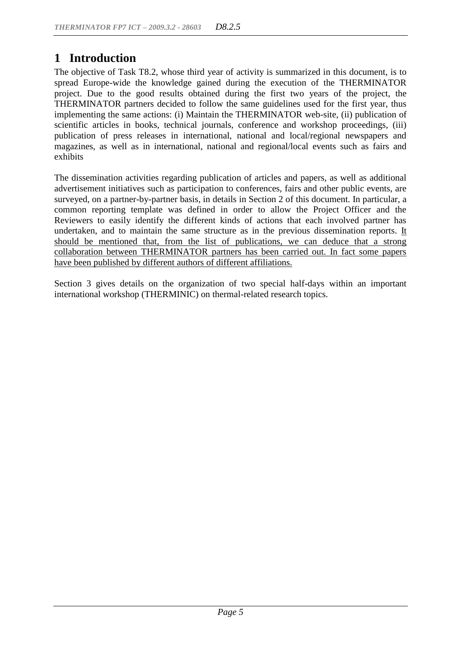## **1 Introduction**

The objective of Task T8.2, whose third year of activity is summarized in this document, is to spread Europe-wide the knowledge gained during the execution of the THERMINATOR project. Due to the good results obtained during the first two years of the project, the THERMINATOR partners decided to follow the same guidelines used for the first year, thus implementing the same actions: (i) Maintain the THERMINATOR web-site, (ii) publication of scientific articles in books, technical journals, conference and workshop proceedings, (iii) publication of press releases in international, national and local/regional newspapers and magazines, as well as in international, national and regional/local events such as fairs and exhibits

The dissemination activities regarding publication of articles and papers, as well as additional advertisement initiatives such as participation to conferences, fairs and other public events, are surveyed, on a partner-by-partner basis, in details in Section 2 of this document. In particular, a common reporting template was defined in order to allow the Project Officer and the Reviewers to easily identify the different kinds of actions that each involved partner has undertaken, and to maintain the same structure as in the previous dissemination reports. It should be mentioned that, from the list of publications, we can deduce that a strong collaboration between THERMINATOR partners has been carried out. In fact some papers have been published by different authors of different affiliations.

Section 3 gives details on the organization of two special half-days within an important international workshop (THERMINIC) on thermal-related research topics.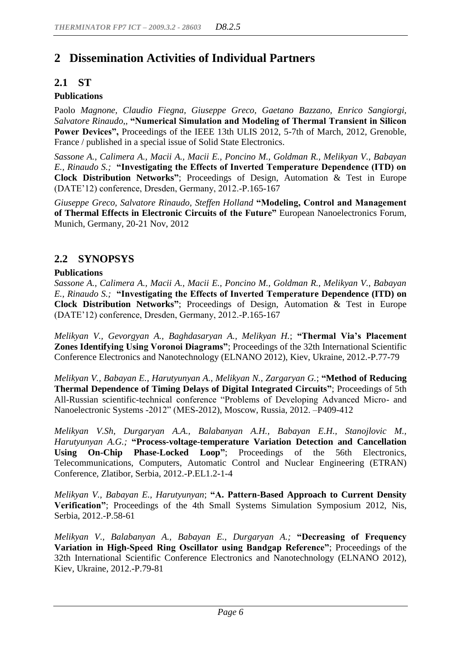## **2 Dissemination Activities of Individual Partners**

## **2.1 ST**

## **Publications**

Paolo *Magnone, Claudio Fiegna, Giuseppe Greco, Gaetano Bazzano, Enrico Sangiorgi, Salvatore Rinaudo*,*,* **"Numerical Simulation and Modeling of Thermal Transient in Silicon Power Devices",** Proceedings of the IEEE 13th ULIS 2012, 5-7th of March, 2012, Grenoble, France / published in a special issue of Solid State Electronics.

*Sassone A., Calimera A., Macii A., Macii E., Poncino M., Goldman R., Melikyan V., Babayan E., Rinaudo S.;* **"Investigating the Effects of Inverted Temperature Dependence (ITD) on Clock Distribution Networks"**; Proceedings of Design, Automation & Test in Europe (DATE'12) conference, Dresden, Germany, 2012.-P.165-167

*Giuseppe Greco, Salvatore Rinaudo, Steffen Holland* **"Modeling, Control and Management of Thermal Effects in Electronic Circuits of the Future"** European Nanoelectronics Forum, Munich, Germany, 20-21 Nov, 2012

## **2.2 SYNOPSYS**

## **Publications**

*Sassone A., Calimera A., Macii A., Macii E., Poncino M., Goldman R., Melikyan V., Babayan E., Rinaudo S.;* **"Investigating the Effects of Inverted Temperature Dependence (ITD) on Clock Distribution Networks"**; Proceedings of Design, Automation & Test in Europe (DATE'12) conference, Dresden, Germany, 2012.-P.165-167

*Melikyan V., Gevorgyan A., Baghdasaryan A., Melikyan H.*; **"Thermal Via's Placement Zones Identifying Using Voronoi Diagrams"**; Proceedings of the 32th International Scientific Conference Electronics and Nanotechnology (ELNANO 2012), Kiev, Ukraine, 2012.-P.77-79

*Melikyan V., Babayan E., Harutyunyan A., Melikyan N., Zargaryan G.*; **"Method of Reducing Thermal Dependence of Timing Delays of Digital Integrated Circuits"**; Proceedings of 5th All-Russian scientific-technical conference "Problems of Developing Advanced Micro- and Nanoelectronic Systems -2012" (MES-2012), Moscow, Russia, 2012. –P409-412

*Melikyan V.Sh, Durgaryan A.A., Balabanyan A.H., Babayan E.H., Stanojlovic M., Harutyunyan A.G.;* **"Process-voltage-temperature Variation Detection and Cancellation Using On-Chip Phase-Locked Loop"**; Proceedings of the 56th Electronics, Telecommunications, Computers, Automatic Control and Nuclear Engineering (ETRAN) Conference, Zlatibor, Serbia, 2012.-P.EL1.2-1-4

*Melikyan V., Babayan E., Harutyunyan*; **"A. Pattern-Based Approach to Current Density Verification"**; Proceedings of the 4th Small Systems Simulation Symposium 2012, Nis, Serbia, 2012.-P.58-61

*Melikyan V., Balabanyan A., Babayan E., Durgaryan A.;* **"Decreasing of Frequency Variation in High-Speed Ring Oscillator using Bandgap Reference"**; Proceedings of the 32th International Scientific Conference Electronics and Nanotechnology (ELNANO 2012), Kiev, Ukraine, 2012.-P.79-81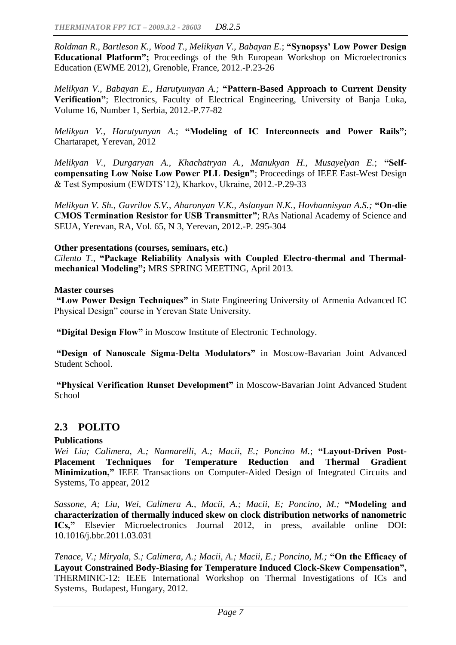*Roldman R., Bartleson K., Wood T., Melikyan V., Babayan E.*; **"Synopsys' Low Power Design Educational Platform";** Proceedings of the 9th European Workshop on Microelectronics Education (EWME 2012), Grenoble, France, 2012.-P.23-26

*Melikyan V., Babayan E., Harutyunyan A.;* **"Pattern-Based Approach to Current Density Verification"**; Electronics, Faculty of Electrical Engineering, University of Banja Luka, Volume 16, Number 1, Serbia, 2012.-P.77-82

*Melikyan V., Harutyunyan A.*; **"Modeling of IC Interconnects and Power Rails"**; Chartarapet, Yerevan, 2012

*Melikyan V., Durgaryan A., Khachatryan A., Manukyan H., Musayelyan E.*; **"Selfcompensating Low Noise Low Power PLL Design"**; Proceedings of IEEE East-West Design & Test Symposium (EWDTS'12), Kharkov, Ukraine, 2012.-P.29-33

*Melikyan V. Sh., Gavrilov S.V., Aharonyan V.K., Aslanyan N.K., Hovhannisyan A.S.;* **"On-die CMOS Termination Resistor for USB Transmitter"**; RAs National Academy of Science and SEUA, Yerevan, RA, Vol. 65, N 3, Yerevan, 2012.-P. 295-304

#### **Other presentations (courses, seminars, etc.)**

*Cilento T*., **"Package Reliability Analysis with Coupled Electro-thermal and Thermalmechanical Modeling";** MRS SPRING MEETING, April 2013.

#### **Master courses**

**"Low Power Design Techniques"** in State Engineering University of Armenia Advanced IC Physical Design" course in Yerevan State University.

**"Digital Design Flow"** in Moscow Institute of Electronic Technology.

**"Design of Nanoscale Sigma-Delta Modulators"** in Moscow-Bavarian Joint Advanced Student School.

**"Physical Verification Runset Development"** in Moscow-Bavarian Joint Advanced Student **School** 

## **2.3 POLITO**

## **Publications**

*Wei Liu; Calimera, A.; Nannarelli, A.; Macii, E.; Poncino M.*; **"Layout-Driven Post-Placement Techniques for Temperature Reduction and Thermal Gradient Minimization,"** IEEE Transactions on Computer-Aided Design of Integrated Circuits and Systems, To appear, 2012

*Sassone, A; Liu, Wei, Calimera A., Macii, A.; Macii, E; Poncino, M.;* **"Modeling and characterization of thermally induced skew on clock distribution networks of nanometric ICs,"** Elsevier Microelectronics Journal 2012, in press, available online DOI: 10.1016/j.bbr.2011.03.031

*Tenace, V.; Miryala, S.; Calimera, A.; Macii, A.; Macii, E.; Poncino, M.;* **"On the Efficacy of Layout Constrained Body-Biasing for Temperature Induced Clock-Skew Compensation",** THERMINIC-12: IEEE International Workshop on Thermal Investigations of ICs and Systems, Budapest, Hungary, 2012.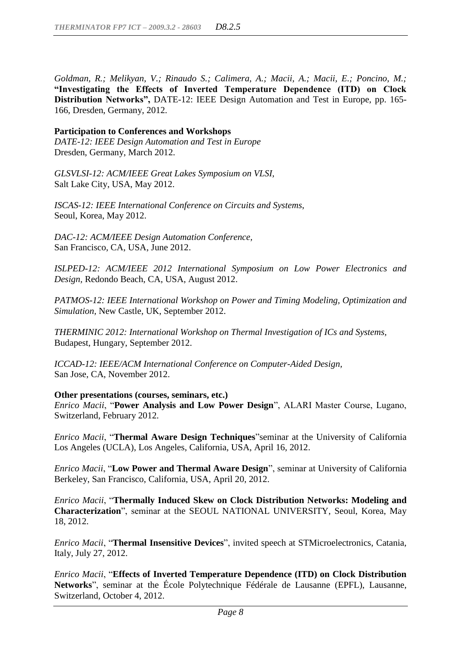*Goldman, R.; Melikyan, V.; Rinaudo S.; Calimera, A.; Macii, A.; Macii, E.; Poncino, M.;* **"Investigating the Effects of Inverted Temperature Dependence (ITD) on Clock Distribution Networks",** DATE-12: IEEE Design Automation and Test in Europe, pp. 165- 166, Dresden, Germany, 2012.

## **Participation to Conferences and Workshops**

*DATE-12: IEEE Design Automation and Test in Europe* Dresden, Germany, March 2012.

*GLSVLSI-12: ACM/IEEE Great Lakes Symposium on VLSI,* Salt Lake City, USA, May 2012.

*ISCAS-12: IEEE International Conference on Circuits and Systems*, Seoul, Korea, May 2012.

*DAC-12: ACM/IEEE Design Automation Conference,* San Francisco, CA, USA, June 2012.

*ISLPED-12: ACM/IEEE 2012 International Symposium on Low Power Electronics and Design,* Redondo Beach, CA, USA, August 2012.

*PATMOS-12: IEEE International Workshop on Power and Timing Modeling, Optimization and Simulation,* New Castle, UK, September 2012.

*THERMINIC 2012: International Workshop on Thermal Investigation of ICs and Systems,* Budapest, Hungary, September 2012.

*ICCAD-12: IEEE/ACM International Conference on Computer-Aided Design,* San Jose, CA, November 2012.

#### **Other presentations (courses, seminars, etc.)**

*Enrico Macii*, "**Power Analysis and Low Power Design**", ALARI Master Course, Lugano, Switzerland, February 2012.

*Enrico Macii*, "**Thermal Aware Design Techniques**"seminar at the University of California Los Angeles (UCLA), Los Angeles, California, USA, April 16, 2012.

*Enrico Macii*, "**Low Power and Thermal Aware Design**", seminar at University of California Berkeley, San Francisco, California, USA, April 20, 2012.

*Enrico Macii*, "**Thermally Induced Skew on Clock Distribution Networks: Modeling and Characterization**", seminar at the SEOUL NATIONAL UNIVERSITY, Seoul, Korea, May 18, 2012.

*Enrico Macii*, "**Thermal Insensitive Devices**", invited speech at STMicroelectronics, Catania, Italy, July 27, 2012.

*Enrico Macii*, "**Effects of Inverted Temperature Dependence (ITD) on Clock Distribution**  Networks", seminar at the École Polytechnique Fédérale de Lausanne (EPFL), Lausanne, Switzerland, October 4, 2012.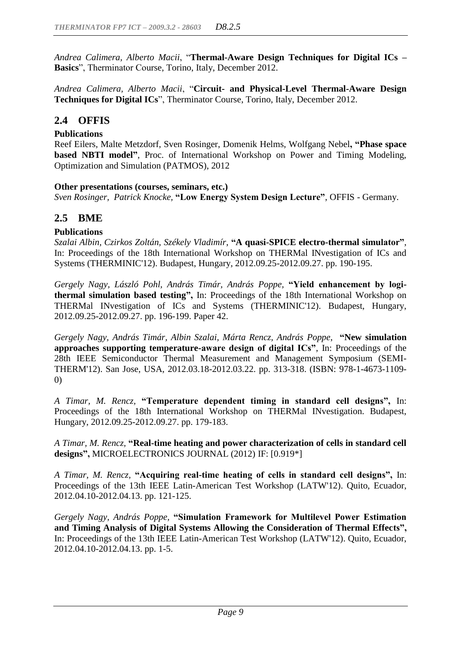*Andrea Calimera, Alberto Macii*, "**Thermal-Aware Design Techniques for Digital ICs – Basics**", Therminator Course, Torino, Italy, December 2012.

*Andrea Calimera, Alberto Macii*, "**Circuit- and Physical-Level Thermal-Aware Design Techniques for Digital ICs**", Therminator Course, Torino, Italy, December 2012.

## **2.4 OFFIS**

## **Publications**

Reef Eilers, Malte Metzdorf, Sven Rosinger, Domenik Helms, Wolfgang Nebel**, "Phase space based NBTI model"**, Proc. of International Workshop on Power and Timing Modeling, Optimization and Simulation (PATMOS), 2012

#### **Other presentations (courses, seminars, etc.)**

*Sven Rosinger, Patrick Knocke,* **"Low Energy System Design Lecture"**, OFFIS - Germany.

## **2.5 BME**

## **Publications**

*Szalai Albin, Czirkos Zoltán, Székely Vladimír*, **"A quasi-SPICE electro-thermal simulator"**, In: Proceedings of the 18th International Workshop on THERMal INvestigation of ICs and Systems (THERMINIC'12). Budapest, Hungary, 2012.09.25-2012.09.27. pp. 190-195.

*Gergely Nagy, László Pohl, András Timár, András Poppe,* **"Yield enhancement by logithermal simulation based testing",** In: Proceedings of the 18th International Workshop on THERMal INvestigation of ICs and Systems (THERMINIC'12). Budapest, Hungary, 2012.09.25-2012.09.27. pp. 196-199. Paper 42.

*Gergely Nagy, András Timár, Albin Szalai, Márta Rencz, András Poppe*, **"New simulation approaches supporting temperature-aware design of digital ICs"**, In: Proceedings of the 28th IEEE Semiconductor Thermal Measurement and Management Symposium (SEMI-THERM'12). San Jose, USA, 2012.03.18-2012.03.22. pp. 313-318. (ISBN: 978-1-4673-1109- 0)

*A Timar, M. Rencz,* **"Temperature dependent timing in standard cell designs",** In: Proceedings of the 18th International Workshop on THERMal INvestigation. Budapest, Hungary, 2012.09.25-2012.09.27. pp. 179-183.

*A Timar, M. Rencz,* **"Real-time heating and power characterization of cells in standard cell designs",** MICROELECTRONICS JOURNAL (2012) IF: [0.919\*]

*A Timar, M. Rencz,* **"Acquiring real-time heating of cells in standard cell designs",** In: Proceedings of the 13th IEEE Latin-American Test Workshop (LATW'12). Quito, Ecuador, 2012.04.10-2012.04.13. pp. 121-125.

*Gergely Nagy, András Poppe,* **"Simulation Framework for Multilevel Power Estimation and Timing Analysis of Digital Systems Allowing the Consideration of Thermal Effects",** In: Proceedings of the 13th IEEE Latin-American Test Workshop (LATW'12). Quito, Ecuador, 2012.04.10-2012.04.13. pp. 1-5.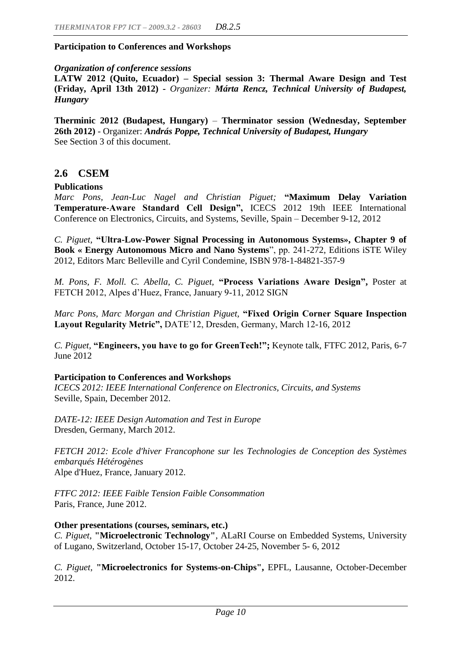### **Participation to Conferences and Workshops**

#### *Organization of conference sessions*

**LATW 2012 (Quito, Ecuador) – Special session 3: Thermal Aware Design and Test (Friday, April 13th 2012) -** *Organizer: Márta Rencz, Technical University of Budapest, Hungary*

**Therminic 2012 (Budapest, Hungary)** – **Therminator session (Wednesday, September 26th 2012)** - Organizer: *András Poppe, Technical University of Budapest, Hungary* See Section 3 of this document.

## **2.6 CSEM**

#### **Publications**

*Marc Pons, Jean-Luc Nagel and Christian Piguet;* **"Maximum Delay Variation Temperature-Aware Standard Cell Design",** ICECS 2012 19th IEEE International Conference on Electronics, Circuits, and Systems, Seville, Spain – December 9-12, 2012

*C. Piguet,* **"Ultra-Low-Power Signal Processing in Autonomous Systems», Chapter 9 of Book « Energy Autonomous Micro and Nano Systems**", pp. 241-272, Editions iSTE Wiley 2012, Editors Marc Belleville and Cyril Condemine, ISBN 978-1-84821-357-9

*M. Pons, F. Moll. C. Abella, C. Piguet,* **"Process Variations Aware Design",** Poster at FETCH 2012, Alpes d'Huez, France, January 9-11, 2012 SIGN

*Marc Pons, Marc Morgan and Christian Piguet,* **"Fixed Origin Corner Square Inspection Layout Regularity Metric",** DATE'12, Dresden, Germany, March 12-16, 2012

*C. Piguet,* **"Engineers, you have to go for GreenTech!";** Keynote talk, FTFC 2012, Paris, 6-7 June 2012

#### **Participation to Conferences and Workshops**

*ICECS 2012: IEEE International Conference on Electronics, Circuits, and Systems*  Seville, Spain, December 2012.

*DATE-12: IEEE Design Automation and Test in Europe* Dresden, Germany, March 2012.

*FETCH 2012: Ecole d'hiver Francophone sur les Technologies de Conception des Systèmes embarqués Hétérogènes* Alpe d'Huez, France, January 2012.

*FTFC 2012: IEEE Faible Tension Faible Consommation* Paris, France, June 2012.

**Other presentations (courses, seminars, etc.)** *C. Piguet,* **"Microelectronic Technology"**, ALaRI Course on Embedded Systems, University of Lugano, Switzerland, October 15-17, October 24-25, November 5- 6, 2012

*C. Piguet,* **"Microelectronics for Systems-on-Chips",** EPFL, Lausanne, October-December 2012.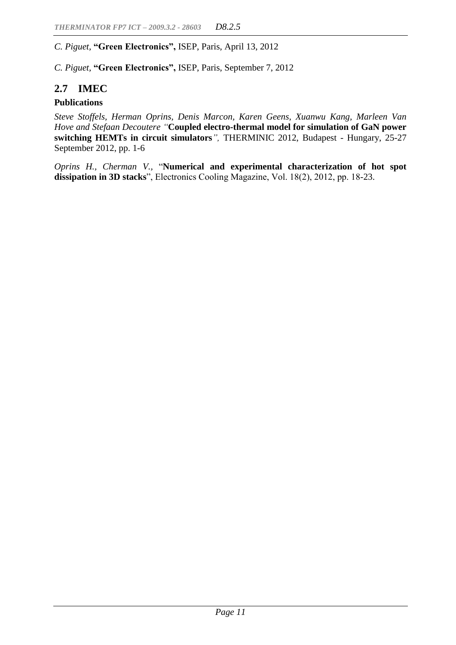## *C. Piguet,* **"Green Electronics",** ISEP, Paris, April 13, 2012

*C. Piguet,* **"Green Electronics",** ISEP, Paris, September 7, 2012

## **2.7 IMEC**

### **Publications**

*Steve Stoffels, Herman Oprins, Denis Marcon, Karen Geens, Xuanwu Kang, Marleen Van Hove and Stefaan Decoutere "***Coupled electro-thermal model for simulation of GaN power switching HEMTs in circuit simulators***",* THERMINIC 2012, Budapest - Hungary, 25-27 September 2012, pp. 1-6

*Oprins H., Cherman V.,* "**Numerical and experimental characterization of hot spot dissipation in 3D stacks**", Electronics Cooling Magazine, Vol. 18(2), 2012, pp. 18-23.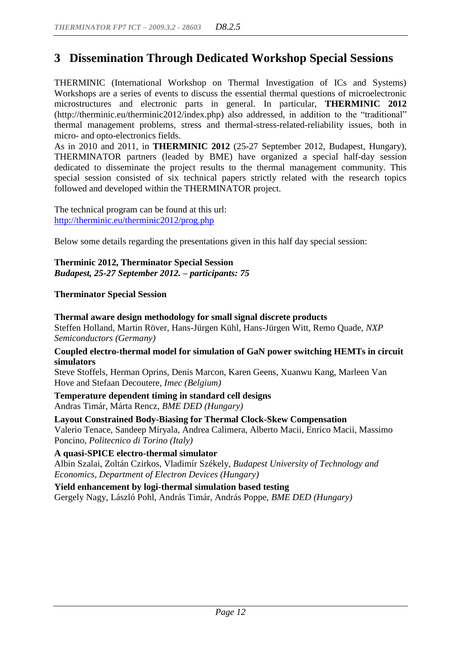## **3 Dissemination Through Dedicated Workshop Special Sessions**

THERMINIC (International Workshop on Thermal Investigation of ICs and Systems) Workshops are a series of events to discuss the essential thermal questions of microelectronic microstructures and electronic parts in general. In particular, **THERMINIC 2012** (http://therminic.eu/therminic2012/index.php) also addressed, in addition to the "traditional" thermal management problems, stress and thermal-stress-related-reliability issues, both in micro- and opto-electronics fields.

As in 2010 and 2011, in **THERMINIC 2012** (25-27 September 2012, Budapest, Hungary), THERMINATOR partners (leaded by BME) have organized a special half-day session dedicated to disseminate the project results to the thermal management community. This special session consisted of six technical papers strictly related with the research topics followed and developed within the THERMINATOR project.

The technical program can be found at this url: <http://therminic.eu/therminic2012/prog.php>

Below some details regarding the presentations given in this half day special session:

**Therminic 2012, Therminator Special Session** *Budapest, 25-27 September 2012. – participants: 75*

### **Therminator Special Session**

## **Thermal aware design methodology for small signal discrete products** Steffen Holland, Martin Röver, Hans-Jürgen Kühl, Hans-Jürgen Witt, Remo Quade, *NXP Semiconductors (Germany)*

### **Coupled electro-thermal model for simulation of GaN power switching HEMTs in circuit simulators**

Steve Stoffels, Herman Oprins, Denis Marcon, Karen Geens, Xuanwu Kang, Marleen Van Hove and Stefaan Decoutere, *Imec (Belgium)*

**Temperature dependent timing in standard cell designs** Andras Timár, Márta Rencz, *BME DED (Hungary)*

**Layout Constrained Body-Biasing for Thermal Clock-Skew Compensation** Valerio Tenace, Sandeep Miryala, Andrea Calimera, Alberto Macii, Enrico Macii, Massimo Poncino, *Politecnico di Torino (Italy)*

## **A quasi-SPICE electro-thermal simulator**

Albin Szalai, Zoltán Czirkos, Vladimír Székely, *Budapest University of Technology and Economics, Department of Electron Devices (Hungary)*

**Yield enhancement by logi-thermal simulation based testing**

Gergely Nagy, László Pohl, András Timár, András Poppe, *BME DED (Hungary)*